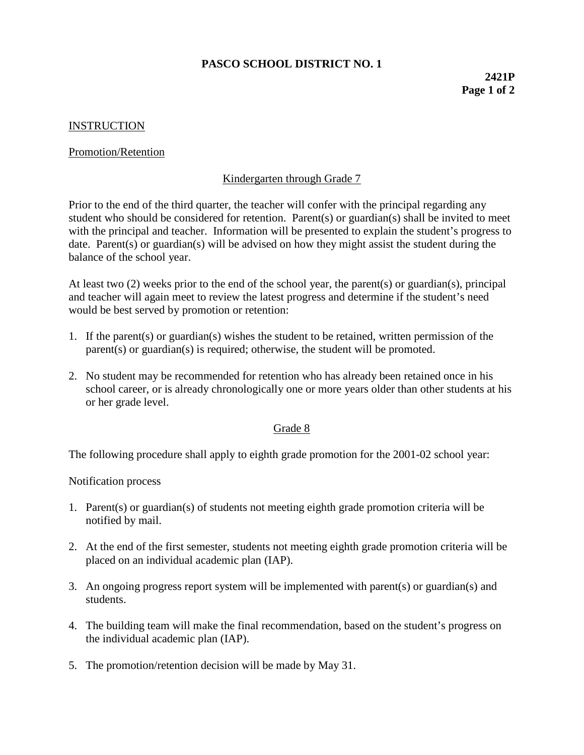## **PASCO SCHOOL DISTRICT NO. 1**

### **INSTRUCTION**

#### Promotion/Retention

## Kindergarten through Grade 7

Prior to the end of the third quarter, the teacher will confer with the principal regarding any student who should be considered for retention. Parent(s) or guardian(s) shall be invited to meet with the principal and teacher. Information will be presented to explain the student's progress to date. Parent(s) or guardian(s) will be advised on how they might assist the student during the balance of the school year.

At least two (2) weeks prior to the end of the school year, the parent(s) or guardian(s), principal and teacher will again meet to review the latest progress and determine if the student's need would be best served by promotion or retention:

- 1. If the parent(s) or guardian(s) wishes the student to be retained, written permission of the parent(s) or guardian(s) is required; otherwise, the student will be promoted.
- 2. No student may be recommended for retention who has already been retained once in his school career, or is already chronologically one or more years older than other students at his or her grade level.

#### Grade 8

The following procedure shall apply to eighth grade promotion for the 2001-02 school year:

Notification process

- 1. Parent(s) or guardian(s) of students not meeting eighth grade promotion criteria will be notified by mail.
- 2. At the end of the first semester, students not meeting eighth grade promotion criteria will be placed on an individual academic plan (IAP).
- 3. An ongoing progress report system will be implemented with parent(s) or guardian(s) and students.
- 4. The building team will make the final recommendation, based on the student's progress on the individual academic plan (IAP).
- 5. The promotion/retention decision will be made by May 31.